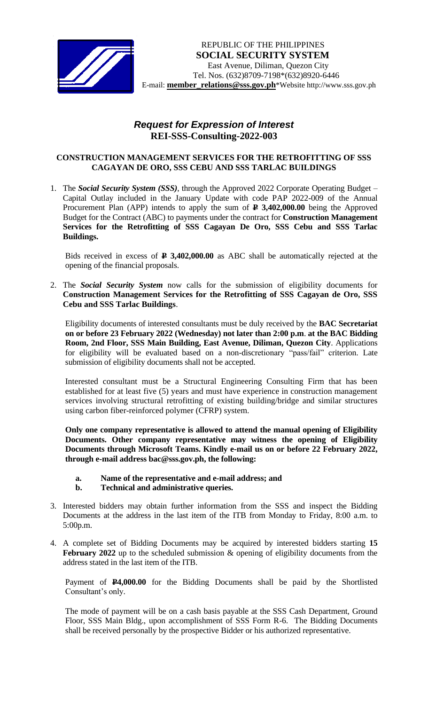

## *Request for Expression of Interest*  **REI-SSS-Consulting-2022-003**

## **CONSTRUCTION MANAGEMENT SERVICES FOR THE RETROFITTING OF SSS CAGAYAN DE ORO, SSS CEBU AND SSS TARLAC BUILDINGS**

1. The *Social Security System (SSS)*, through the Approved 2022 Corporate Operating Budget – Capital Outlay included in the January Update with code PAP 2022-009 of the Annual Procurement Plan (APP) intends to apply the sum of **P 3,402,000.00** being the Approved Budget for the Contract (ABC) to payments under the contract for **Construction Management Services for the Retrofitting of SSS Cagayan De Oro, SSS Cebu and SSS Tarlac Buildings.**

Bids received in excess of **P 3,402,000.00** as ABC shall be automatically rejected at the opening of the financial proposals.

2. The *Social Security System* now calls for the submission of eligibility documents for **Construction Management Services for the Retrofitting of SSS Cagayan de Oro, SSS Cebu and SSS Tarlac Buildings**.

Eligibility documents of interested consultants must be duly received by the **BAC Secretariat on or before 23 February 2022 (Wednesday) not later than 2:00 p.m**. **at the BAC Bidding Room, 2nd Floor, SSS Main Building, East Avenue, Diliman, Quezon City**. Applications for eligibility will be evaluated based on a non-discretionary "pass/fail" criterion. Late submission of eligibility documents shall not be accepted.

Interested consultant must be a Structural Engineering Consulting Firm that has been established for at least five (5) years and must have experience in construction management services involving structural retrofitting of existing building/bridge and similar structures using carbon fiber-reinforced polymer (CFRP) system.

**Only one company representative is allowed to attend the manual opening of Eligibility Documents. Other company representative may witness the opening of Eligibility Documents through Microsoft Teams. Kindly e-mail us on or before 22 February 2022, through e-mail address bac@sss.gov.ph, the following:**

- **a. Name of the representative and e-mail address; and**
- **b. Technical and administrative queries.**
- 3. Interested bidders may obtain further information from the SSS and inspect the Bidding Documents at the address in the last item of the ITB from Monday to Friday, 8:00 a.m. to 5:00p.m.
- 4. A complete set of Bidding Documents may be acquired by interested bidders starting **15**  February 2022 up to the scheduled submission & opening of eligibility documents from the address stated in the last item of the ITB.

Payment of **P4,000.00** for the Bidding Documents shall be paid by the Shortlisted Consultant's only.

The mode of payment will be on a cash basis payable at the SSS Cash Department, Ground Floor, SSS Main Bldg., upon accomplishment of SSS Form R-6. The Bidding Documents shall be received personally by the prospective Bidder or his authorized representative.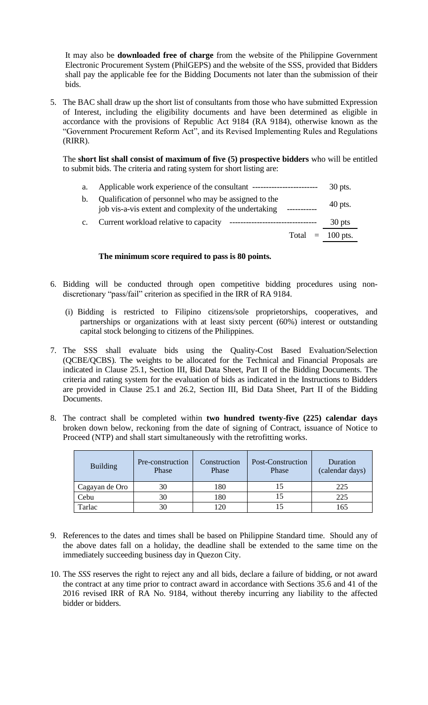It may also be **downloaded free of charge** from the website of the Philippine Government Electronic Procurement System (PhilGEPS) and the website of the SSS*,* provided that Bidders shall pay the applicable fee for the Bidding Documents not later than the submission of their bids.

5. The BAC shall draw up the short list of consultants from those who have submitted Expression of Interest, including the eligibility documents and have been determined as eligible in accordance with the provisions of Republic Act 9184 (RA 9184), otherwise known as the "Government Procurement Reform Act", and its Revised Implementing Rules and Regulations (RIRR).

The **short list shall consist of maximum of five (5) prospective bidders** who will be entitled to submit bids. The criteria and rating system for short listing are:

a. Applicable work experience of the consultant ------------------------ 30 pts.

| b. Qualification of personnel who may be assigned to the                      |           |  |
|-------------------------------------------------------------------------------|-----------|--|
| job vis-a-vis extent and complexity of the undertaking<br>___________         | $40$ pts. |  |
| c. Current workload relative to capacity<br>--------------------------------- | 30 pts    |  |

Total  $= 100$  pts.

## **The minimum score required to pass is 80 points.**

- 6. Bidding will be conducted through open competitive bidding procedures using nondiscretionary "pass/fail" criterion as specified in the IRR of RA 9184.
	- (i) Bidding is restricted to Filipino citizens/sole proprietorships, cooperatives, and partnerships or organizations with at least sixty percent (60%) interest or outstanding capital stock belonging to citizens of the Philippines.
- 7. The SSS shall evaluate bids using the Quality-Cost Based Evaluation/Selection (QCBE/QCBS). The weights to be allocated for the Technical and Financial Proposals are indicated in Clause 25.1, Section III, Bid Data Sheet, Part II of the Bidding Documents. The criteria and rating system for the evaluation of bids as indicated in the Instructions to Bidders are provided in Clause 25.1 and 26.2, Section III, Bid Data Sheet, Part II of the Bidding Documents.
- 8. The contract shall be completed within **two hundred twenty-five (225) calendar days** broken down below, reckoning from the date of signing of Contract, issuance of Notice to Proceed (NTP) and shall start simultaneously with the retrofitting works.

| <b>Building</b> | Pre-construction<br>Phase | Construction<br>Phase | Post-Construction<br>Phase | Duration<br>(calendar days) |
|-----------------|---------------------------|-----------------------|----------------------------|-----------------------------|
| Cagayan de Oro  | 30                        | 180                   |                            | 225                         |
| Cebu            | 30                        | 180                   |                            | 225                         |
| Tarlac          | 30                        | 120                   |                            | 165                         |

- 9. References to the dates and times shall be based on Philippine Standard time. Should any of the above dates fall on a holiday, the deadline shall be extended to the same time on the immediately succeeding business day in Quezon City.
- 10. The *SSS* reserves the right to reject any and all bids, declare a failure of bidding, or not award the contract at any time prior to contract award in accordance with Sections 35.6 and 41 of the 2016 revised IRR of RA No. 9184, without thereby incurring any liability to the affected bidder or bidders.